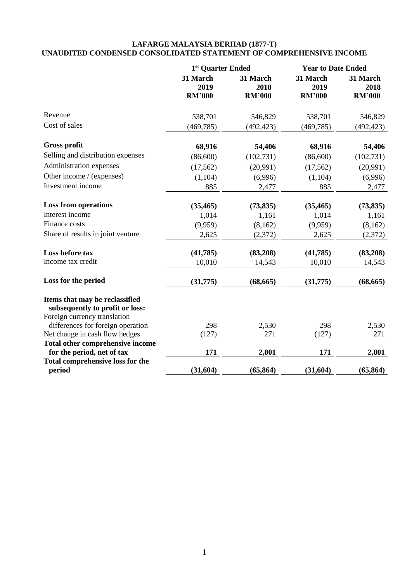### **LAFARGE MALAYSIA BERHAD (1877-T) UNAUDITED CONDENSED CONSOLIDATED STATEMENT OF COMPREHENSIVE INCOME**

|                                                                   | 1 <sup>st</sup> Quarter Ended     |                                   | <b>Year to Date Ended</b>         |                                   |  |
|-------------------------------------------------------------------|-----------------------------------|-----------------------------------|-----------------------------------|-----------------------------------|--|
|                                                                   | 31 March<br>2019<br><b>RM'000</b> | 31 March<br>2018<br><b>RM'000</b> | 31 March<br>2019<br><b>RM'000</b> | 31 March<br>2018<br><b>RM'000</b> |  |
| Revenue                                                           | 538,701                           | 546,829                           | 538,701                           | 546,829                           |  |
| Cost of sales                                                     | (469, 785)                        | (492, 423)                        | (469, 785)                        | (492, 423)                        |  |
| <b>Gross profit</b>                                               | 68,916                            | 54,406                            | 68,916                            | 54,406                            |  |
| Selling and distribution expenses                                 | (86,600)                          | (102, 731)                        | (86,600)                          | (102, 731)                        |  |
| Administration expenses                                           | (17, 562)                         | (20,991)                          | (17, 562)                         | (20,991)                          |  |
| Other income / (expenses)                                         | (1,104)                           | (6,996)                           | (1,104)                           | (6,996)                           |  |
| Investment income                                                 | 885                               | 2,477                             | 885                               | 2,477                             |  |
| <b>Loss from operations</b>                                       | (35, 465)                         | (73, 835)                         | (35, 465)                         | (73, 835)                         |  |
| Interest income                                                   | 1,014                             | 1,161                             | 1,014                             | 1,161                             |  |
| Finance costs                                                     | (9,959)                           | (8,162)                           | (9,959)                           | (8,162)                           |  |
| Share of results in joint venture                                 | 2,625                             | (2,372)                           | 2,625                             | (2,372)                           |  |
| Loss before tax                                                   | (41, 785)                         | (83,208)                          | (41,785)                          | (83,208)                          |  |
| Income tax credit                                                 | 10,010                            | 14,543                            | 10,010                            | 14,543                            |  |
| Loss for the period                                               | (31,775)                          | (68, 665)                         | (31,775)                          | (68, 665)                         |  |
| Items that may be reclassified<br>subsequently to profit or loss: |                                   |                                   |                                   |                                   |  |
| Foreign currency translation<br>differences for foreign operation | 298                               | 2,530                             | 298                               | 2,530                             |  |
| Net change in cash flow hedges                                    | (127)                             | 271                               | (127)                             | 271                               |  |
| Total other comprehensive income                                  |                                   |                                   |                                   |                                   |  |
| for the period, net of tax                                        | 171                               | 2,801                             | 171                               | 2,801                             |  |
| Total comprehensive loss for the                                  |                                   |                                   |                                   |                                   |  |
| period                                                            | (31,604)                          | (65, 864)                         | (31,604)                          | (65, 864)                         |  |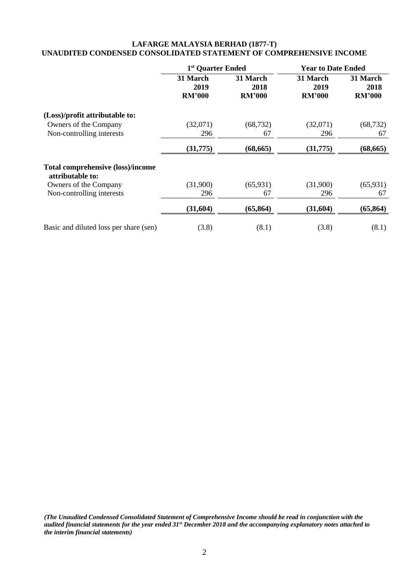# **LAFARGE MALAYSIA BERHAD (1877-T) UNAUDITED CONDENSED CONSOLIDATED STATEMENT OF COMPREHENSIVE INCOME**

|                                                              | 1 <sup>st</sup> Quarter Ended     |                                   | <b>Year to Date Ended</b>         |                                   |  |
|--------------------------------------------------------------|-----------------------------------|-----------------------------------|-----------------------------------|-----------------------------------|--|
|                                                              | 31 March<br>2019<br><b>RM'000</b> | 31 March<br>2018<br><b>RM'000</b> | 31 March<br>2019<br><b>RM'000</b> | 31 March<br>2018<br><b>RM'000</b> |  |
| (Loss)/profit attributable to:                               |                                   |                                   |                                   |                                   |  |
| Owners of the Company                                        | (32,071)                          | (68, 732)                         | (32,071)                          | (68, 732)                         |  |
| Non-controlling interests                                    | 296                               | 67                                | 296                               | 67                                |  |
|                                                              | (31,775)                          | (68, 665)                         | (31,775)                          | (68, 665)                         |  |
| <b>Total comprehensive (loss)/income</b><br>attributable to: |                                   |                                   |                                   |                                   |  |
| Owners of the Company                                        | (31,900)                          | (65, 931)                         | (31,900)                          | (65, 931)                         |  |
| Non-controlling interests                                    | 296                               | 67                                | 296                               | 67                                |  |
|                                                              | (31,604)                          | (65, 864)                         | (31,604)                          | (65, 864)                         |  |
| Basic and diluted loss per share (sen)                       | (3.8)                             | (8.1)                             | (3.8)                             | (8.1)                             |  |

*(The Unaudited Condensed Consolidated Statement of Comprehensive Income should be read in conjunction with the audited financial statements for the year ended 31st December 2018 and the accompanying explanatory notes attached to the interim financial statements)*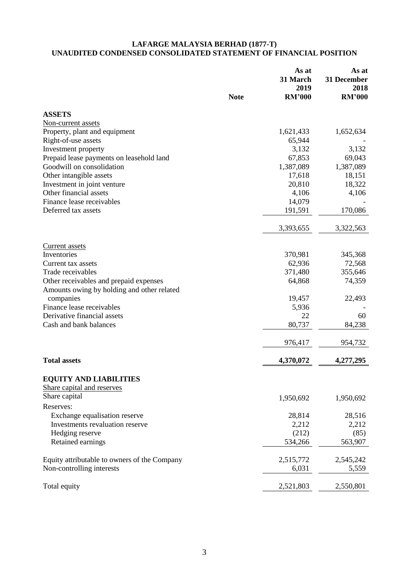#### **LAFARGE MALAYSIA BERHAD (1877-T) UNAUDITED CONDENSED CONSOLIDATED STATEMENT OF FINANCIAL POSITION**

|                                              | <b>Note</b> | As at<br>31 March<br>2019<br><b>RM'000</b> | As at<br>31 December<br>2018<br><b>RM'000</b> |
|----------------------------------------------|-------------|--------------------------------------------|-----------------------------------------------|
| <b>ASSETS</b>                                |             |                                            |                                               |
| Non-current assets                           |             |                                            |                                               |
| Property, plant and equipment                |             | 1,621,433                                  | 1,652,634                                     |
| Right-of-use assets                          |             | 65,944                                     |                                               |
| Investment property                          |             | 3,132                                      | 3,132                                         |
| Prepaid lease payments on leasehold land     |             | 67,853                                     | 69,043                                        |
| Goodwill on consolidation                    |             | 1,387,089                                  | 1,387,089                                     |
| Other intangible assets                      |             | 17,618                                     | 18,151                                        |
| Investment in joint venture                  |             | 20,810                                     | 18,322                                        |
| Other financial assets                       |             | 4,106                                      | 4,106                                         |
| Finance lease receivables                    |             | 14,079                                     |                                               |
| Deferred tax assets                          |             | 191,591                                    | 170,086                                       |
|                                              |             | 3,393,655                                  | 3,322,563                                     |
| <b>Current</b> assets                        |             |                                            |                                               |
| Inventories                                  |             | 370,981                                    | 345,368                                       |
| Current tax assets                           |             | 62,936                                     | 72,568                                        |
| Trade receivables                            |             | 371,480                                    | 355,646                                       |
| Other receivables and prepaid expenses       |             | 64,868                                     | 74,359                                        |
| Amounts owing by holding and other related   |             |                                            |                                               |
| companies                                    |             | 19,457                                     | 22,493                                        |
| Finance lease receivables                    |             | 5,936                                      |                                               |
| Derivative financial assets                  |             | 22                                         | 60                                            |
| Cash and bank balances                       |             | 80,737                                     | 84,238                                        |
|                                              |             | 976,417                                    | 954,732                                       |
| <b>Total assets</b>                          |             | 4,370,072                                  | 4,277,295                                     |
| <b>EQUITY AND LIABILITIES</b>                |             |                                            |                                               |
| Share capital and reserves                   |             |                                            |                                               |
| Share capital                                |             | 1,950,692                                  | 1,950,692                                     |
| Reserves:                                    |             |                                            |                                               |
| Exchange equalisation reserve                |             | 28,814                                     | 28,516                                        |
| Investments revaluation reserve              |             | 2,212                                      | 2,212                                         |
| Hedging reserve                              |             | (212)                                      | (85)                                          |
| Retained earnings                            |             | 534,266                                    | 563,907                                       |
| Equity attributable to owners of the Company |             | 2,515,772                                  | 2,545,242                                     |
| Non-controlling interests                    |             | 6,031                                      | 5,559                                         |
| Total equity                                 |             | 2,521,803                                  | 2,550,801                                     |
|                                              |             |                                            |                                               |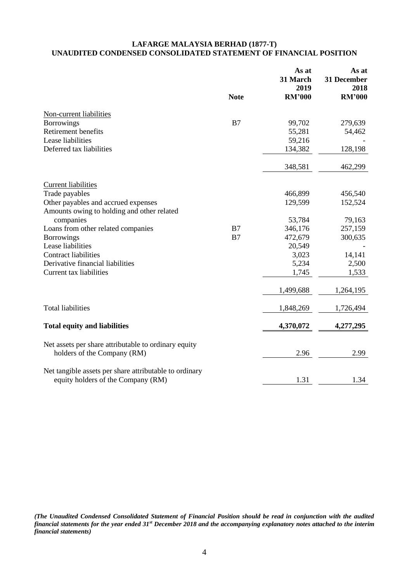# **LAFARGE MALAYSIA BERHAD (1877-T) UNAUDITED CONDENSED CONSOLIDATED STATEMENT OF FINANCIAL POSITION**

|                                                                                   | <b>Note</b> | As at<br>31 March<br>2019<br><b>RM'000</b> | As at<br>31 December<br>2018<br><b>RM'000</b> |
|-----------------------------------------------------------------------------------|-------------|--------------------------------------------|-----------------------------------------------|
| Non-current liabilities                                                           |             |                                            |                                               |
| <b>Borrowings</b>                                                                 | B7          | 99,702                                     | 279,639                                       |
| Retirement benefits                                                               |             | 55,281                                     | 54,462                                        |
| Lease liabilities                                                                 |             | 59,216                                     |                                               |
| Deferred tax liabilities                                                          |             | 134,382                                    | 128,198                                       |
|                                                                                   |             | 348,581                                    | 462,299                                       |
| <b>Current liabilities</b>                                                        |             |                                            |                                               |
| Trade payables                                                                    |             | 466,899                                    | 456,540                                       |
| Other payables and accrued expenses<br>Amounts owing to holding and other related |             | 129,599                                    | 152,524                                       |
| companies                                                                         |             | 53,784                                     | 79,163                                        |
| Loans from other related companies                                                | B7          | 346,176                                    | 257,159                                       |
| <b>Borrowings</b>                                                                 | B7          | 472,679                                    | 300,635                                       |
| Lease liabilities                                                                 |             | 20,549                                     |                                               |
| <b>Contract liabilities</b>                                                       |             | 3,023                                      | 14,141                                        |
| Derivative financial liabilities                                                  |             | 5,234                                      | 2,500                                         |
| Current tax liabilities                                                           |             | 1,745                                      | 1,533                                         |
|                                                                                   |             | 1,499,688                                  | 1,264,195                                     |
| <b>Total liabilities</b>                                                          |             | 1,848,269                                  | 1,726,494                                     |
| <b>Total equity and liabilities</b>                                               |             | 4,370,072                                  | 4,277,295                                     |
| Net assets per share attributable to ordinary equity                              |             |                                            |                                               |
| holders of the Company (RM)                                                       |             | 2.96                                       | 2.99                                          |
| Net tangible assets per share attributable to ordinary                            |             |                                            |                                               |
| equity holders of the Company (RM)                                                |             | 1.31                                       | 1.34                                          |

*(The Unaudited Condensed Consolidated Statement of Financial Position should be read in conjunction with the audited financial statements for the year ended 31st December 2018 and the accompanying explanatory notes attached to the interim financial statements)*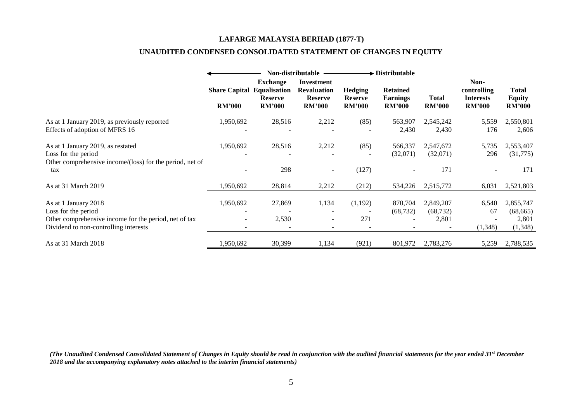#### **LAFARGE MALAYSIA BERHAD (1877-T)**

# **UNAUDITED CONDENSED CONSOLIDATED STATEMENT OF CHANGES IN EQUITY**

|                                                                                                                                               |               | Non-distributable                                                                       |                                                                            | $\rightarrow$ Distributable                       |                                                     |                                 |                                                          |                                                |
|-----------------------------------------------------------------------------------------------------------------------------------------------|---------------|-----------------------------------------------------------------------------------------|----------------------------------------------------------------------------|---------------------------------------------------|-----------------------------------------------------|---------------------------------|----------------------------------------------------------|------------------------------------------------|
|                                                                                                                                               | <b>RM'000</b> | <b>Exchange</b><br><b>Share Capital Equalisation</b><br><b>Reserve</b><br><b>RM'000</b> | <b>Investment</b><br><b>Revaluation</b><br><b>Reserve</b><br><b>RM'000</b> | <b>Hedging</b><br><b>Reserve</b><br><b>RM'000</b> | <b>Retained</b><br><b>Earnings</b><br><b>RM'000</b> | <b>Total</b><br><b>RM'000</b>   | Non-<br>controlling<br><b>Interests</b><br><b>RM'000</b> | <b>Total</b><br><b>Equity</b><br><b>RM'000</b> |
| As at 1 January 2019, as previously reported<br>Effects of adoption of MFRS 16                                                                | 1,950,692     | 28,516                                                                                  | 2,212                                                                      | (85)                                              | 563,907<br>2,430                                    | 2,545,242<br>2,430              | 5,559<br>176                                             | 2,550,801<br>2,606                             |
| As at 1 January 2019, as restated<br>Loss for the period<br>Other comprehensive income/(loss) for the period, net of                          | 1,950,692     | 28,516<br>298                                                                           | 2,212                                                                      | (85)                                              | 566,337<br>(32,071)                                 | 2,547,672<br>(32,071)           | 5,735<br>296                                             | 2,553,407<br>(31,775)                          |
| tax<br>As at 31 March 2019                                                                                                                    | 1,950,692     | 28,814                                                                                  | $\sim$<br>2,212                                                            | (127)<br>(212)                                    | 534,226                                             | 171<br>2,515,772                | 6,031                                                    | 171<br>2,521,803                               |
| As at 1 January 2018<br>Loss for the period<br>Other comprehensive income for the period, net of tax<br>Dividend to non-controlling interests | 1,950,692     | 27,869<br>2,530                                                                         | 1,134                                                                      | (1,192)<br>271                                    | 870,704<br>(68, 732)                                | 2,849,207<br>(68, 732)<br>2,801 | 6,540<br>67<br>(1,348)                                   | 2,855,747<br>(68, 665)<br>2,801<br>(1, 348)    |
| As at 31 March 2018                                                                                                                           | 1,950,692     | 30,399                                                                                  | 1,134                                                                      | (921)                                             | 801,972                                             | 2,783,276                       | 5,259                                                    | 2,788,535                                      |

*(The Unaudited Condensed Consolidated Statement of Changes in Equity should be read in conjunction with the audited financial statements for the year ended 31st December 2018 and the accompanying explanatory notes attached to the interim financial statements)*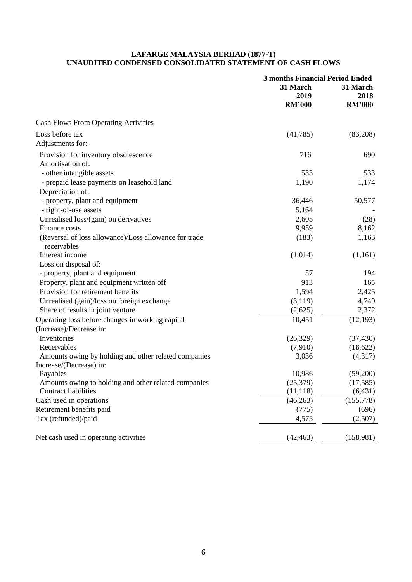#### **LAFARGE MALAYSIA BERHAD (1877-T) UNAUDITED CONDENSED CONSOLIDATED STATEMENT OF CASH FLOWS**

|                                                                             | <b>3 months Financial Period Ended</b><br>31 March<br>31 March |                       |  |
|-----------------------------------------------------------------------------|----------------------------------------------------------------|-----------------------|--|
|                                                                             | 2019<br><b>RM'000</b>                                          | 2018<br><b>RM'000</b> |  |
| <b>Cash Flows From Operating Activities</b>                                 |                                                                |                       |  |
| Loss before tax                                                             | (41,785)                                                       | (83,208)              |  |
| Adjustments for:-                                                           |                                                                |                       |  |
| Provision for inventory obsolescence                                        | 716                                                            | 690                   |  |
| Amortisation of:                                                            |                                                                |                       |  |
| - other intangible assets                                                   | 533                                                            | 533                   |  |
| - prepaid lease payments on leasehold land                                  | 1,190                                                          | 1,174                 |  |
| Depreciation of:                                                            |                                                                |                       |  |
| - property, plant and equipment                                             | 36,446                                                         | 50,577                |  |
| - right-of-use assets                                                       | 5,164                                                          |                       |  |
| Unrealised loss/(gain) on derivatives                                       | 2,605                                                          | (28)                  |  |
| Finance costs                                                               | 9,959                                                          | 8,162                 |  |
| (Reversal of loss allowance)/Loss allowance for trade<br>receivables        | (183)                                                          | 1,163                 |  |
| Interest income                                                             | (1,014)                                                        | (1,161)               |  |
| Loss on disposal of:                                                        |                                                                |                       |  |
| - property, plant and equipment                                             | 57                                                             | 194                   |  |
| Property, plant and equipment written off                                   | 913                                                            | 165                   |  |
| Provision for retirement benefits                                           | 1,594                                                          | 2,425                 |  |
| Unrealised (gain)/loss on foreign exchange                                  | (3,119)                                                        | 4,749                 |  |
| Share of results in joint venture                                           | (2,625)                                                        | 2,372                 |  |
| Operating loss before changes in working capital<br>(Increase)/Decrease in: | 10,451                                                         | (12, 193)             |  |
| Inventories                                                                 | (26, 329)                                                      | (37, 430)             |  |
| Receivables                                                                 | (7,910)                                                        | (18,622)              |  |
| Amounts owing by holding and other related companies                        | 3,036                                                          | (4,317)               |  |
| Increase/(Decrease) in:                                                     |                                                                |                       |  |
| Payables                                                                    | 10,986                                                         | (59,200)              |  |
| Amounts owing to holding and other related companies                        | (25, 379)                                                      | (17, 585)             |  |
| Contract liabilities                                                        | (11, 118)                                                      | (6, 431)              |  |
| Cash used in operations                                                     | (46,263)                                                       | (155, 778)            |  |
| Retirement benefits paid                                                    | (775)                                                          | (696)                 |  |
| Tax (refunded)/paid                                                         | 4,575                                                          | (2,507)               |  |
| Net cash used in operating activities                                       | (42, 463)                                                      | (158,981)             |  |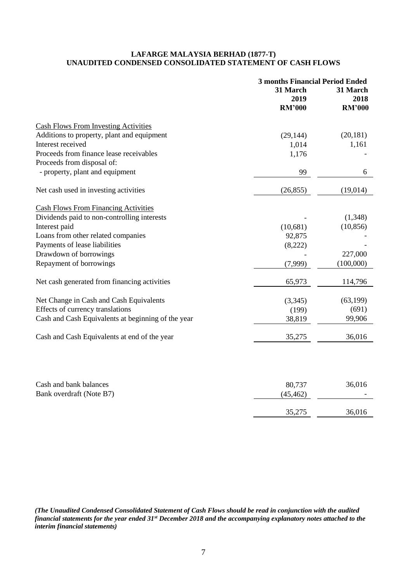# **LAFARGE MALAYSIA BERHAD (1877-T) UNAUDITED CONDENSED CONSOLIDATED STATEMENT OF CASH FLOWS**

|                                                    | <b>3 months Financial Period Ended</b> |               |  |
|----------------------------------------------------|----------------------------------------|---------------|--|
|                                                    | 31 March<br>31 March                   |               |  |
|                                                    | 2019                                   | 2018          |  |
|                                                    | <b>RM'000</b>                          | <b>RM'000</b> |  |
| <b>Cash Flows From Investing Activities</b>        |                                        |               |  |
| Additions to property, plant and equipment         | (29, 144)                              | (20, 181)     |  |
| Interest received                                  | 1,014                                  | 1,161         |  |
| Proceeds from finance lease receivables            | 1,176                                  |               |  |
| Proceeds from disposal of:                         |                                        |               |  |
| - property, plant and equipment                    | 99                                     | 6             |  |
| Net cash used in investing activities              | (26, 855)                              | (19,014)      |  |
| <b>Cash Flows From Financing Activities</b>        |                                        |               |  |
| Dividends paid to non-controlling interests        |                                        | (1,348)       |  |
| Interest paid                                      | (10,681)                               | (10, 856)     |  |
| Loans from other related companies                 | 92,875                                 |               |  |
| Payments of lease liabilities                      | (8,222)                                |               |  |
| Drawdown of borrowings                             |                                        | 227,000       |  |
| Repayment of borrowings                            | (7,999)                                | (100,000)     |  |
| Net cash generated from financing activities       | 65,973                                 | 114,796       |  |
| Net Change in Cash and Cash Equivalents            | (3,345)                                | (63, 199)     |  |
| Effects of currency translations                   | (199)                                  | (691)         |  |
| Cash and Cash Equivalents at beginning of the year | 38,819                                 | 99,906        |  |
| Cash and Cash Equivalents at end of the year       | 35,275                                 | 36,016        |  |
|                                                    |                                        |               |  |
| Cash and bank balances                             | 80,737                                 | 36,016        |  |
| Bank overdraft (Note B7)                           | (45, 462)                              |               |  |
|                                                    | 35,275                                 | 36,016        |  |

*(The Unaudited Condensed Consolidated Statement of Cash Flows should be read in conjunction with the audited financial statements for the year ended 31st December 2018 and the accompanying explanatory notes attached to the interim financial statements)*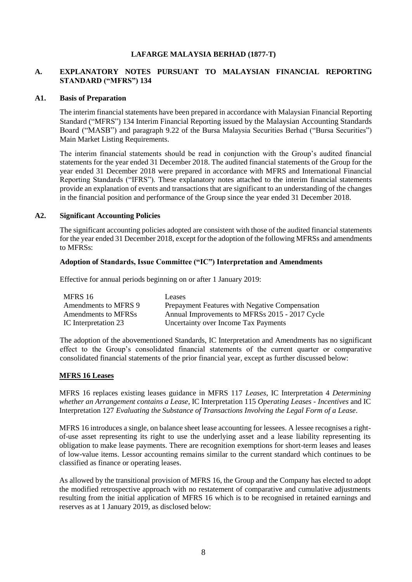### **LAFARGE MALAYSIA BERHAD (1877-T)**

# **A. EXPLANATORY NOTES PURSUANT TO MALAYSIAN FINANCIAL REPORTING STANDARD ("MFRS") 134**

#### **A1. Basis of Preparation**

The interim financial statements have been prepared in accordance with Malaysian Financial Reporting Standard ("MFRS") 134 Interim Financial Reporting issued by the Malaysian Accounting Standards Board ("MASB") and paragraph 9.22 of the Bursa Malaysia Securities Berhad ("Bursa Securities") Main Market Listing Requirements.

The interim financial statements should be read in conjunction with the Group's audited financial statements for the year ended 31 December 2018. The audited financial statements of the Group for the year ended 31 December 2018 were prepared in accordance with MFRS and International Financial Reporting Standards ("IFRS"). These explanatory notes attached to the interim financial statements provide an explanation of events and transactions that are significant to an understanding of the changes in the financial position and performance of the Group since the year ended 31 December 2018.

### **A2. Significant Accounting Policies**

The significant accounting policies adopted are consistent with those of the audited financial statements for the year ended 31 December 2018, except for the adoption of the following MFRSs and amendments to MFRSs:

#### **Adoption of Standards, Issue Committee ("IC") Interpretation and Amendments**

Effective for annual periods beginning on or after 1 January 2019:

| MFRS 16              | Leases                                         |
|----------------------|------------------------------------------------|
| Amendments to MFRS 9 | Prepayment Features with Negative Compensation |
| Amendments to MFRSs  | Annual Improvements to MFRSs 2015 - 2017 Cycle |
| IC Interpretation 23 | Uncertainty over Income Tax Payments           |

The adoption of the abovementioned Standards, IC Interpretation and Amendments has no significant effect to the Group's consolidated financial statements of the current quarter or comparative consolidated financial statements of the prior financial year, except as further discussed below:

### **MFRS 16 Leases**

MFRS 16 replaces existing leases guidance in MFRS 117 *Leases*, IC Interpretation 4 *Determining whether an Arrangement contains a Lease*, IC Interpretation 115 *Operating Leases - Incentives* and IC Interpretation 127 *Evaluating the Substance of Transactions Involving the Legal Form of a Lease*.

MFRS 16 introduces a single, on balance sheet lease accounting for lessees. A lessee recognises a rightof-use asset representing its right to use the underlying asset and a lease liability representing its obligation to make lease payments. There are recognition exemptions for short-term leases and leases of low-value items. Lessor accounting remains similar to the current standard which continues to be classified as finance or operating leases.

As allowed by the transitional provision of MFRS 16, the Group and the Company has elected to adopt the modified retrospective approach with no restatement of comparative and cumulative adjustments resulting from the initial application of MFRS 16 which is to be recognised in retained earnings and reserves as at 1 January 2019, as disclosed below: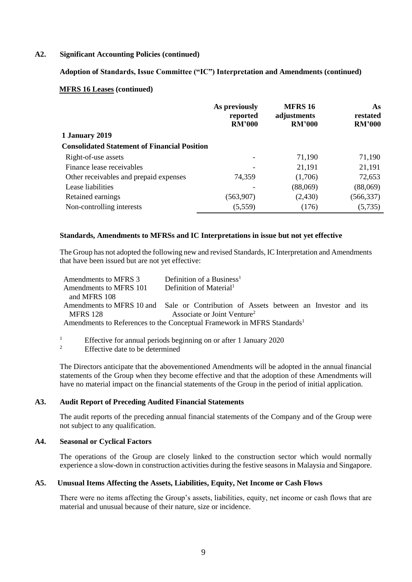#### **A2. Significant Accounting Policies (continued)**

# **Adoption of Standards, Issue Committee ("IC") Interpretation and Amendments (continued)**

#### **MFRS 16 Leases (continued)**

|                                                     | As previously<br>reported<br><b>RM'000</b> | <b>MFRS 16</b><br>adjustments<br><b>RM'000</b> | As<br>restated<br><b>RM'000</b> |
|-----------------------------------------------------|--------------------------------------------|------------------------------------------------|---------------------------------|
| 1 January 2019                                      |                                            |                                                |                                 |
| <b>Consolidated Statement of Financial Position</b> |                                            |                                                |                                 |
| Right-of-use assets                                 |                                            | 71,190                                         | 71,190                          |
| Finance lease receivables                           |                                            | 21,191                                         | 21,191                          |
| Other receivables and prepaid expenses              | 74,359                                     | (1,706)                                        | 72,653                          |
| Lease liabilities                                   |                                            | (88,069)                                       | (88,069)                        |
| Retained earnings                                   | (563,907)                                  | (2,430)                                        | (566, 337)                      |
| Non-controlling interests                           | (5,559)                                    | (176)                                          | (5,735)                         |

#### **Standards, Amendments to MFRSs and IC Interpretations in issue but not yet effective**

The Group has not adopted the following new and revised Standards, IC Interpretation and Amendments that have been issued but are not yet effective:

| Amendments to MFRS 3   | Definition of a Business <sup>1</sup>                                                |
|------------------------|--------------------------------------------------------------------------------------|
| Amendments to MFRS 101 | Definition of Material <sup>1</sup>                                                  |
| and MFRS 108           |                                                                                      |
|                        | Amendments to MFRS 10 and Sale or Contribution of Assets between an Investor and its |
| <b>MFRS 128</b>        | Associate or Joint Venture <sup>2</sup>                                              |
|                        | Amendments to References to the Conceptual Framework in MFRS Standards <sup>1</sup>  |
|                        |                                                                                      |

<sup>1</sup> Effective for annual periods beginning on or after 1 January 2020

Effective date to be determined

The Directors anticipate that the abovementioned Amendments will be adopted in the annual financial statements of the Group when they become effective and that the adoption of these Amendments will have no material impact on the financial statements of the Group in the period of initial application.

#### **A3. Audit Report of Preceding Audited Financial Statements**

The audit reports of the preceding annual financial statements of the Company and of the Group were not subject to any qualification.

#### **A4. Seasonal or Cyclical Factors**

The operations of the Group are closely linked to the construction sector which would normally experience a slow-down in construction activities during the festive seasons in Malaysia and Singapore.

### **A5. Unusual Items Affecting the Assets, Liabilities, Equity, Net Income or Cash Flows**

There were no items affecting the Group's assets, liabilities, equity, net income or cash flows that are material and unusual because of their nature, size or incidence.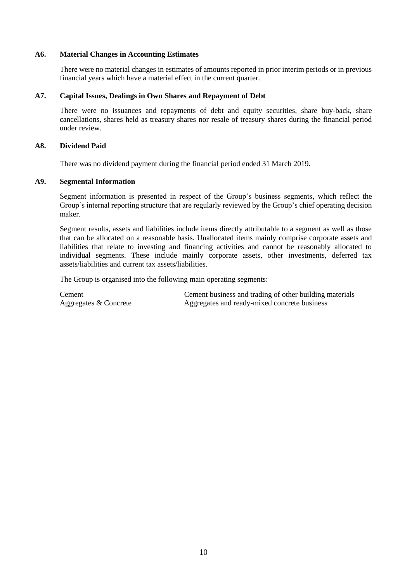#### **A6. Material Changes in Accounting Estimates**

There were no material changes in estimates of amounts reported in prior interim periods or in previous financial years which have a material effect in the current quarter.

### **A7. Capital Issues, Dealings in Own Shares and Repayment of Debt**

There were no issuances and repayments of debt and equity securities, share buy-back, share cancellations, shares held as treasury shares nor resale of treasury shares during the financial period under review.

#### **A8. Dividend Paid**

There was no dividend payment during the financial period ended 31 March 2019.

#### **A9. Segmental Information**

Segment information is presented in respect of the Group's business segments, which reflect the Group's internal reporting structure that are regularly reviewed by the Group's chief operating decision maker.

Segment results, assets and liabilities include items directly attributable to a segment as well as those that can be allocated on a reasonable basis. Unallocated items mainly comprise corporate assets and liabilities that relate to investing and financing activities and cannot be reasonably allocated to individual segments. These include mainly corporate assets, other investments, deferred tax assets/liabilities and current tax assets/liabilities.

The Group is organised into the following main operating segments:

Cement Cement business and trading of other building materials Aggregates & Concrete Aggregates and ready-mixed concrete business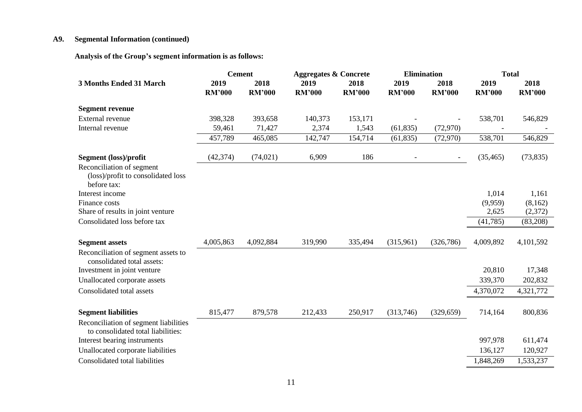# **A9. Segmental Information (continued)**

**Analysis of the Group's segment information is as follows:** 

|                                                                                |                       | <b>Cement</b>         | <b>Aggregates &amp; Concrete</b> |                       | <b>Elimination</b>    |                       | <b>Total</b>          |                       |
|--------------------------------------------------------------------------------|-----------------------|-----------------------|----------------------------------|-----------------------|-----------------------|-----------------------|-----------------------|-----------------------|
| <b>3 Months Ended 31 March</b>                                                 | 2019<br><b>RM'000</b> | 2018<br><b>RM'000</b> | 2019<br><b>RM'000</b>            | 2018<br><b>RM'000</b> | 2019<br><b>RM'000</b> | 2018<br><b>RM'000</b> | 2019<br><b>RM'000</b> | 2018<br><b>RM'000</b> |
| <b>Segment revenue</b>                                                         |                       |                       |                                  |                       |                       |                       |                       |                       |
| External revenue                                                               | 398,328               | 393,658               | 140,373                          | 153,171               |                       |                       | 538,701               | 546,829               |
| Internal revenue                                                               | 59,461                | 71,427                | 2,374                            | 1,543                 | (61, 835)             | (72, 970)             |                       |                       |
|                                                                                | 457,789               | 465,085               | 142,747                          | 154,714               | (61, 835)             | (72, 970)             | 538,701               | 546,829               |
| Segment (loss)/profit                                                          | (42, 374)             | (74, 021)             | 6,909                            | 186                   |                       | $-$                   | (35, 465)             | (73, 835)             |
| Reconciliation of segment<br>(loss)/profit to consolidated loss<br>before tax: |                       |                       |                                  |                       |                       |                       |                       |                       |
| Interest income                                                                |                       |                       |                                  |                       |                       |                       | 1,014                 | 1,161                 |
| Finance costs                                                                  |                       |                       |                                  |                       |                       |                       | (9,959)               | (8,162)               |
| Share of results in joint venture                                              |                       |                       |                                  |                       |                       |                       | 2,625                 | (2,372)               |
| Consolidated loss before tax                                                   |                       |                       |                                  |                       |                       |                       | (41,785)              | (83,208)              |
| <b>Segment assets</b>                                                          | 4,005,863             | 4,092,884             | 319,990                          | 335,494               | (315,961)             | (326, 786)            | 4,009,892             | 4,101,592             |
| Reconciliation of segment assets to<br>consolidated total assets:              |                       |                       |                                  |                       |                       |                       |                       |                       |
| Investment in joint venture                                                    |                       |                       |                                  |                       |                       |                       | 20,810                | 17,348                |
| Unallocated corporate assets                                                   |                       |                       |                                  |                       |                       |                       | 339,370               | 202,832               |
| Consolidated total assets                                                      |                       |                       |                                  |                       |                       |                       | 4,370,072             | 4,321,772             |
| <b>Segment liabilities</b>                                                     | 815,477               | 879,578               | 212,433                          | 250,917               | (313,746)             | (329, 659)            | 714,164               | 800,836               |
| Reconciliation of segment liabilities<br>to consolidated total liabilities:    |                       |                       |                                  |                       |                       |                       |                       |                       |
| Interest bearing instruments                                                   |                       |                       |                                  |                       |                       |                       | 997,978               | 611,474               |
| Unallocated corporate liabilities                                              |                       |                       |                                  |                       |                       |                       | 136,127               | 120,927               |
| Consolidated total liabilities                                                 |                       |                       |                                  |                       |                       |                       | 1,848,269             | 1,533,237             |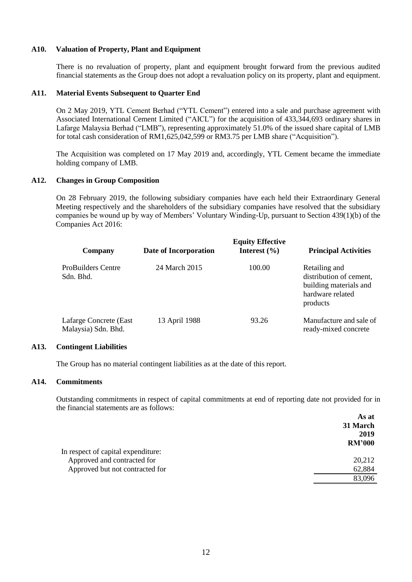### **A10. Valuation of Property, Plant and Equipment**

There is no revaluation of property, plant and equipment brought forward from the previous audited financial statements as the Group does not adopt a revaluation policy on its property, plant and equipment.

### **A11. Material Events Subsequent to Quarter End**

On 2 May 2019, YTL Cement Berhad ("YTL Cement") entered into a sale and purchase agreement with Associated International Cement Limited ("AICL") for the acquisition of 433,344,693 ordinary shares in Lafarge Malaysia Berhad ("LMB"), representing approximately 51.0% of the issued share capital of LMB for total cash consideration of RM1,625,042,599 or RM3.75 per LMB share ("Acquisition").

The Acquisition was completed on 17 May 2019 and, accordingly, YTL Cement became the immediate holding company of LMB.

# **A12. Changes in Group Composition**

On 28 February 2019, the following subsidiary companies have each held their Extraordinary General Meeting respectively and the shareholders of the subsidiary companies have resolved that the subsidiary companies be wound up by way of Members' Voluntary Winding-Up, pursuant to Section 439(1)(b) of the Companies Act 2016:

| Company                                       | Date of Incorporation | <b>Equity Effective</b><br>Interest $(\% )$ | <b>Principal Activities</b>                                                                        |
|-----------------------------------------------|-----------------------|---------------------------------------------|----------------------------------------------------------------------------------------------------|
| <b>ProBuilders Centre</b><br>Sdn. Bhd.        | 24 March 2015         | 100.00                                      | Retailing and<br>distribution of cement,<br>building materials and<br>hardware related<br>products |
| Lafarge Concrete (East<br>Malaysia) Sdn. Bhd. | 13 April 1988         | 93.26                                       | Manufacture and sale of<br>ready-mixed concrete                                                    |

### **A13. Contingent Liabilities**

The Group has no material contingent liabilities as at the date of this report.

### **A14. Commitments**

Outstanding commitments in respect of capital commitments at end of reporting date not provided for in the financial statements are as follows:

|                                    | As at         |
|------------------------------------|---------------|
|                                    | 31 March      |
|                                    | 2019          |
|                                    | <b>RM'000</b> |
| In respect of capital expenditure: |               |
| Approved and contracted for        | 20,212        |
| Approved but not contracted for    | 62,884        |
|                                    | 83,096        |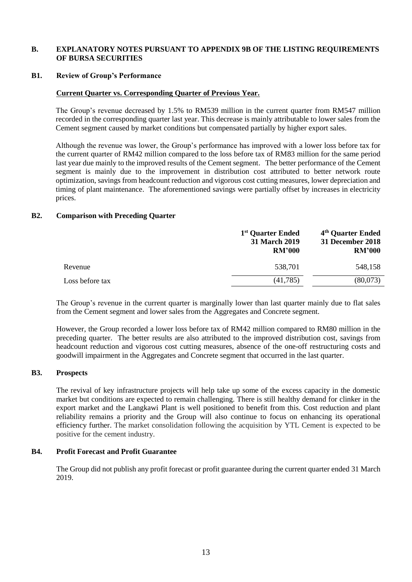### **B. EXPLANATORY NOTES PURSUANT TO APPENDIX 9B OF THE LISTING REQUIREMENTS OF BURSA SECURITIES**

#### **B1. Review of Group's Performance**

#### **Current Quarter vs. Corresponding Quarter of Previous Year.**

The Group's revenue decreased by 1.5% to RM539 million in the current quarter from RM547 million recorded in the corresponding quarter last year. This decrease is mainly attributable to lower sales from the Cement segment caused by market conditions but compensated partially by higher export sales.

Although the revenue was lower, the Group's performance has improved with a lower loss before tax for the current quarter of RM42 million compared to the loss before tax of RM83 million for the same period last year due mainly to the improved results of the Cement segment. The better performance of the Cement segment is mainly due to the improvement in distribution cost attributed to better network route optimization, savings from headcount reduction and vigorous cost cutting measures, lower depreciation and timing of plant maintenance. The aforementioned savings were partially offset by increases in electricity prices.

#### **B2. Comparison with Preceding Quarter**

| 1 <sup>st</sup> Quarter Ended<br><b>31 March 2019</b><br><b>RM'000</b> | 4 <sup>th</sup> Quarter Ended<br><b>31 December 2018</b><br><b>RM'000</b> |
|------------------------------------------------------------------------|---------------------------------------------------------------------------|
| 538,701                                                                | 548,158                                                                   |
| (41, 785)                                                              | (80,073)                                                                  |
|                                                                        |                                                                           |

The Group's revenue in the current quarter is marginally lower than last quarter mainly due to flat sales from the Cement segment and lower sales from the Aggregates and Concrete segment.

However, the Group recorded a lower loss before tax of RM42 million compared to RM80 million in the preceding quarter. The better results are also attributed to the improved distribution cost, savings from headcount reduction and vigorous cost cutting measures, absence of the one-off restructuring costs and goodwill impairment in the Aggregates and Concrete segment that occurred in the last quarter.

#### **B3. Prospects**

The revival of key infrastructure projects will help take up some of the excess capacity in the domestic market but conditions are expected to remain challenging. There is still healthy demand for clinker in the export market and the Langkawi Plant is well positioned to benefit from this. Cost reduction and plant reliability remains a priority and the Group will also continue to focus on enhancing its operational efficiency further. The market consolidation following the acquisition by YTL Cement is expected to be positive for the cement industry.

#### **B4. Profit Forecast and Profit Guarantee**

The Group did not publish any profit forecast or profit guarantee during the current quarter ended 31 March 2019.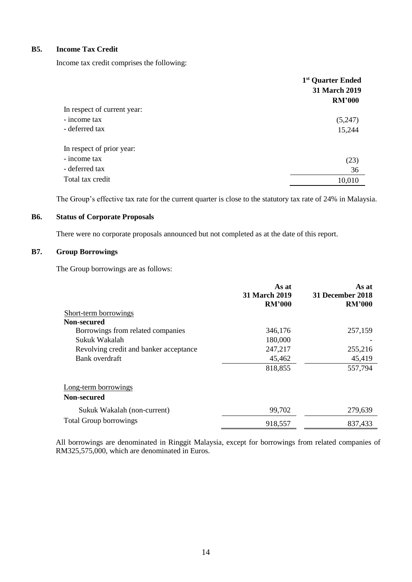# **B5. Income Tax Credit**

Income tax credit comprises the following:

|                             | 1 <sup>st</sup> Quarter Ended<br>31 March 2019<br><b>RM'000</b> |
|-----------------------------|-----------------------------------------------------------------|
| In respect of current year: |                                                                 |
| - income tax                | (5,247)                                                         |
| - deferred tax              | 15,244                                                          |
| In respect of prior year:   |                                                                 |
| - income tax                | (23)                                                            |
| - deferred tax              | 36                                                              |
| Total tax credit            | 10,010                                                          |

The Group's effective tax rate for the current quarter is close to the statutory tax rate of 24% in Malaysia.

# **B6. Status of Corporate Proposals**

There were no corporate proposals announced but not completed as at the date of this report.

# **B7. Group Borrowings**

The Group borrowings are as follows:

|                                        | As at<br><b>31 March 2019</b><br><b>RM'000</b> | As at<br><b>31 December 2018</b><br><b>RM'000</b> |
|----------------------------------------|------------------------------------------------|---------------------------------------------------|
| Short-term borrowings                  |                                                |                                                   |
| Non-secured                            |                                                |                                                   |
| Borrowings from related companies      | 346,176                                        | 257,159                                           |
| Sukuk Wakalah                          | 180,000                                        |                                                   |
| Revolving credit and banker acceptance | 247,217                                        | 255,216                                           |
| Bank overdraft                         | 45,462                                         | 45,419                                            |
|                                        | 818,855                                        | 557,794                                           |
| Long-term borrowings                   |                                                |                                                   |
| Non-secured                            |                                                |                                                   |
| Sukuk Wakalah (non-current)            | 99,702                                         | 279,639                                           |
| <b>Total Group borrowings</b>          | 918,557                                        | 837,433                                           |

All borrowings are denominated in Ringgit Malaysia, except for borrowings from related companies of RM325,575,000, which are denominated in Euros.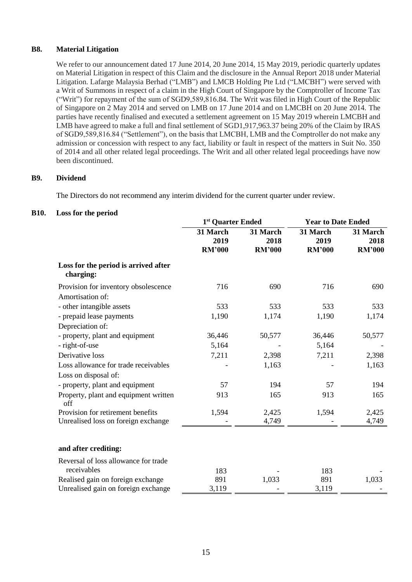# **B8. Material Litigation**

We refer to our announcement dated 17 June 2014, 20 June 2014, 15 May 2019, periodic quarterly updates on Material Litigation in respect of this Claim and the disclosure in the Annual Report 2018 under Material Litigation. Lafarge Malaysia Berhad ("LMB") and LMCB Holding Pte Ltd ("LMCBH") were served with a Writ of Summons in respect of a claim in the High Court of Singapore by the Comptroller of Income Tax ("Writ") for repayment of the sum of SGD9,589,816.84. The Writ was filed in High Court of the Republic of Singapore on 2 May 2014 and served on LMB on 17 June 2014 and on LMCBH on 20 June 2014. The parties have recently finalised and executed a settlement agreement on 15 May 2019 wherein LMCBH and LMB have agreed to make a full and final settlement of SGD1,917,963.37 being 20% of the Claim by IRAS of SGD9,589,816.84 ("Settlement"), on the basis that LMCBH, LMB and the Comptroller do not make any admission or concession with respect to any fact, liability or fault in respect of the matters in Suit No. 350 of 2014 and all other related legal proceedings. The Writ and all other related legal proceedings have now been discontinued.

### **B9. Dividend**

The Directors do not recommend any interim dividend for the current quarter under review.

# **B10. Loss for the period**

|                                                     | 1 <sup>st</sup> Quarter Ended     |                                   | <b>Year to Date Ended</b>         |                                   |
|-----------------------------------------------------|-----------------------------------|-----------------------------------|-----------------------------------|-----------------------------------|
|                                                     | 31 March<br>2019<br><b>RM'000</b> | 31 March<br>2018<br><b>RM'000</b> | 31 March<br>2019<br><b>RM'000</b> | 31 March<br>2018<br><b>RM'000</b> |
| Loss for the period is arrived after<br>charging:   |                                   |                                   |                                   |                                   |
| Provision for inventory obsolescence                | 716                               | 690                               | 716                               | 690                               |
| Amortisation of:                                    |                                   |                                   |                                   |                                   |
| - other intangible assets                           | 533                               | 533                               | 533                               | 533                               |
| - prepaid lease payments                            | 1,190                             | 1,174                             | 1,190                             | 1,174                             |
| Depreciation of:                                    |                                   |                                   |                                   |                                   |
| - property, plant and equipment                     | 36,446                            | 50,577                            | 36,446                            | 50,577                            |
| - right-of-use                                      | 5,164                             |                                   | 5,164                             |                                   |
| Derivative loss                                     | 7,211                             | 2,398                             | 7,211                             | 2,398                             |
| Loss allowance for trade receivables                |                                   | 1,163                             |                                   | 1,163                             |
| Loss on disposal of:                                |                                   |                                   |                                   |                                   |
| - property, plant and equipment                     | 57                                | 194                               | 57                                | 194                               |
| Property, plant and equipment written<br>off        | 913                               | 165                               | 913                               | 165                               |
| Provision for retirement benefits                   | 1,594                             | 2,425                             | 1,594                             | 2,425                             |
| Unrealised loss on foreign exchange                 |                                   | 4,749                             |                                   | 4,749                             |
| and after crediting:                                |                                   |                                   |                                   |                                   |
| Reversal of loss allowance for trade<br>receivables | 183                               |                                   | 183                               |                                   |
| Realised gain on foreign exchange                   | 891                               | 1,033                             | 891                               | 1,033                             |
| Unrealised gain on foreign exchange                 | 3,119                             |                                   | 3,119                             |                                   |